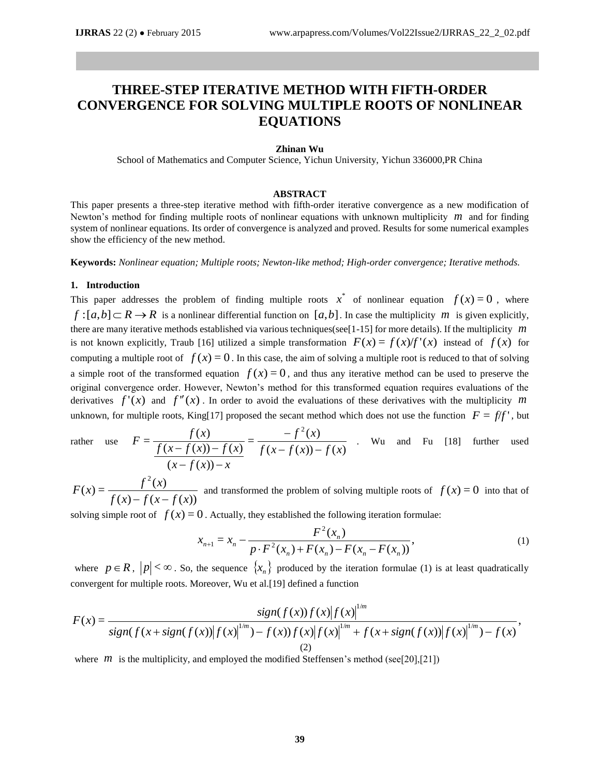# **THREE-STEP ITERATIVE METHOD WITH FIFTH-ORDER CONVERGENCE FOR SOLVING MULTIPLE ROOTS OF NONLINEAR EQUATIONS**

#### **Zhinan Wu**

School of Mathematics and Computer Science, Yichun University, Yichun 336000,PR China

## **ABSTRACT**

This paper presents a three-step iterative method with fifth-order iterative convergence as a new modification of Newton's method for finding multiple roots of nonlinear equations with unknown multiplicity  $m$  and for finding system of nonlinear equations. Its order of convergence is analyzed and proved. Results for some numerical examples show the efficiency of the new method.

**Keywords:** *Nonlinear equation; Multiple roots; Newton-like method; High-order convergence; Iterative methods.*

### **1. Introduction**

This paper addresses the problem of finding multiple roots  $x^*$  of nonlinear equation  $f(x) = 0$ , where  $f:[a,b]\subset R\to R$  is a nonlinear differential function on  $[a,b]$ . In case the multiplicity *m* is given explicitly, there are many iterative methods established via various techniques(see[1-15] for more details). If the multiplicity *m* is not known explicitly, Traub [16] utilized a simple transformation  $F(x) = f(x)/f'(x)$  instead of  $f(x)$  for computing a multiple root of  $f(x) = 0$ . In this case, the aim of solving a multiple root is reduced to that of solving a simple root of the transformed equation  $f(x) = 0$ , and thus any iterative method can be used to preserve the original convergence order. However, Newton's method for this transformed equation requires evaluations of the derivatives  $f'(x)$  and  $f''(x)$ . In order to avoid the evaluations of these derivatives with the multiplicity m unknown, for multiple roots, King[17] proposed the secant method which does not use the function  $F = f/f'$ , but

rather use 
$$
F = \frac{f(x)}{\frac{f(x - f(x)) - f(x)}{(x - f(x)) - x}} = \frac{-f^2(x)}{f(x - f(x)) - f(x)}
$$
. Wu and Fu [18] further used

 $(x) - f(x - f(x))$  $f^{2}(x) = \frac{f^{2}(x)}{x^{2}(x)}$ 2  $f(x) - f(x - f(x))$  $F(x) = \frac{f^2(x)}{x^2 + 2x}$  $\frac{f(x)}{-f(x-f(x))}$  and transformed the problem of solving multiple roots of  $f(x) = 0$  into that of

solving simple root of  $f(x) = 0$ . Actually, they established the following iteration formulae:

$$
x_{n+1} = x_n - \frac{F^2(x_n)}{p \cdot F^2(x_n) + F(x_n) - F(x_n - F(x_n))},\tag{1}
$$

where  $p \in R$ ,  $|p| < \infty$ . So, the sequence  $\{x_n\}$  produced by the iteration formulae (1) is at least quadratically convergent for multiple roots. Moreover, Wu et al.[19] defined a function  $\frac{1}{2}$ 

$$
F(x) = \frac{\operatorname{sign}(f(x))f(x)|f(x)|^{1/m}}{\operatorname{sign}(f(x) + \operatorname{sign}(f(x))|f(x)|^{1/m}) - f(x)f(x)|f(x)|^{1/m} + f(x + \operatorname{sign}(f(x))|f(x)|^{1/m}) - f(x)}.
$$
\n(2)

where  $m$  is the multiplicity, and employed the modified Steffensen's method (see[20],[21])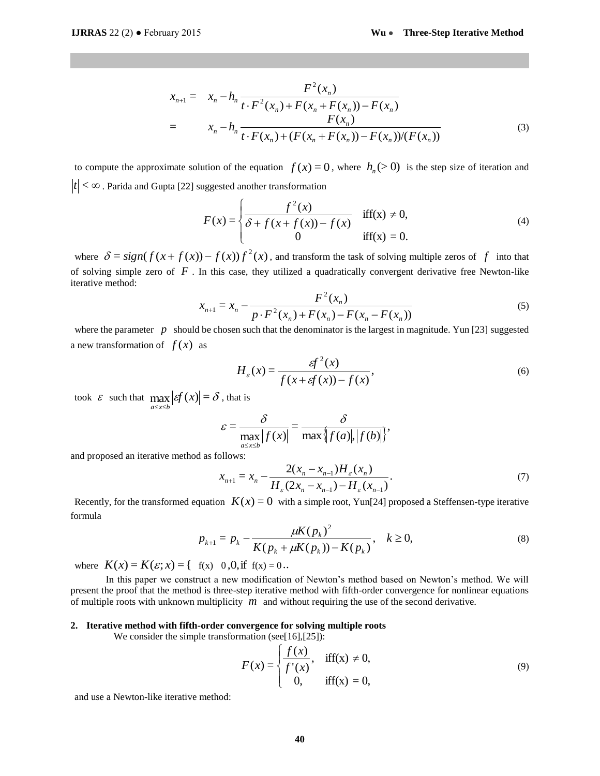$$
x_{n+1} = x_n - h_n \frac{F^2(x_n)}{t \cdot F^2(x_n) + F(x_n + F(x_n)) - F(x_n)}
$$
  
= 
$$
x_n - h_n \frac{F(x_n)}{t \cdot F(x_n) + (F(x_n + F(x_n)) - F(x_n))/(F(x_n))}
$$
 (3)

to compute the approximate solution of the equation  $f(x) = 0$ , where  $h_n(>0)$  is the step size of iteration and  $|t| < \infty$ . Parida and Gupta [22] suggested another transformation

$$
F(x) = \begin{cases} \frac{f^{2}(x)}{\delta + f(x + f(x)) - f(x)} & \text{iff}(x) \neq 0, \\ 0 & \text{iff}(x) = 0. \end{cases}
$$
 (4)

where  $\delta = sign(f(x+f(x)) - f(x))f^{2}(x)$ , and transform the task of solving multiple zeros of f into that of solving simple zero of  $F$ . In this case, they utilized a quadratically convergent derivative free Newton-like iterative method:

$$
x_{n+1} = x_n - \frac{F^2(x_n)}{p \cdot F^2(x_n) + F(x_n) - F(x_n - F(x_n))}
$$
(5)

where the parameter  $p$  should be chosen such that the denominator is the largest in magnitude. Yun [23] suggested a new transformation of  $f(x)$  as

$$
H_{\varepsilon}(x) = \frac{g f^{2}(x)}{f(x + gf(x)) - f(x)},
$$
\n(6)

,

took  $\varepsilon$  such that  $\max_{a \le x \le b} |\varepsilon f(x)| = \delta$ , that is

$$
\varepsilon = \frac{\delta}{\max_{a \le x \le b} |f(x)|} = \frac{\delta}{\max\{|f(a)|, |f(b)|\}},
$$

and proposed an iterative method as follows:

$$
x_{n+1} = x_n - \frac{2(x_n - x_{n-1})H_{\varepsilon}(x_n)}{H_{\varepsilon}(2x_n - x_{n-1}) - H_{\varepsilon}(x_{n-1})}.
$$
\n(7)

Recently, for the transformed equation  $K(x) = 0$  with a simple root, Yun[24] proposed a Steffensen-type iterative formula

$$
p_{k+1} = p_k - \frac{\mu K(p_k)^2}{K(p_k + \mu K(p_k)) - K(p_k)}, \quad k \ge 0,
$$
\n(8)

where  $K(x) = K(\varepsilon; x) = \{ \text{ f(x) } 0, 0, \text{ if } f(x) = 0 \}.$ 

In this paper we construct a new modification of Newton's method based on Newton's method. We will present the proof that the method is three-step iterative method with fifth-order convergence for nonlinear equations of multiple roots with unknown multiplicity  $\overline{m}$  and without requiring the use of the second derivative.

#### **2. Iterative method with fifth-order convergence for solving multiple roots**

We consider the simple transformation (see[16],[25]):

$$
F(x) = \begin{cases} \frac{f(x)}{f'(x)}, & \text{iff}(x) \neq 0, \\ 0, & \text{iff}(x) = 0, \end{cases}
$$
(9)

and use a Newton-like iterative method: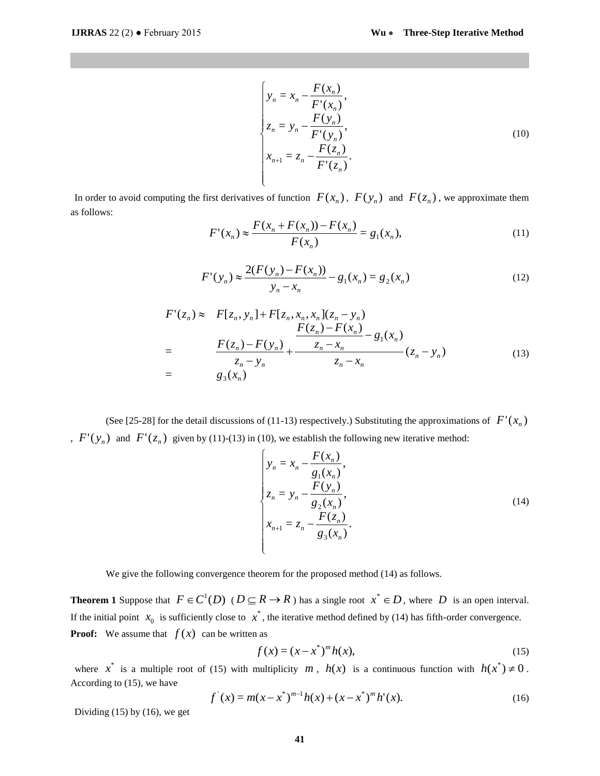$$
\begin{cases}\n y_n = x_n - \frac{F(x_n)}{F'(x_n)}, \\
z_n = y_n - \frac{F(y_n)}{F'(y_n)}, \\
x_{n+1} = z_n - \frac{F(z_n)}{F'(z_n)}.\n\end{cases}
$$
\n(10)

In order to avoid computing the first derivatives of function  $F(x_n)$ ,  $F(y_n)$  and  $F(z_n)$ , we approximate them as follows:

$$
F'(x_n) \approx \frac{F(x_n + F(x_n)) - F(x_n)}{F(x_n)} = g_1(x_n),
$$
\n(11)

$$
F'(y_n) \approx \frac{2(F(y_n) - F(x_n))}{y_n - x_n} - g_1(x_n) = g_2(x_n)
$$
 (12)

$$
F'(z_n) \approx F[z_n, y_n] + F[z_n, x_n, x_n](z_n - y_n)
$$
  
= 
$$
\frac{F(z_n) - F(x_n)}{z_n - y_n} + \frac{\frac{F(z_n) - F(x_n)}{z_n - x_n}}{z_n - x_n} - g_1(x_n)
$$
  
= 
$$
g_3(x_n)
$$
 (13)

(See [25-28] for the detail discussions of (11-13) respectively.) Substituting the approximations of  $F'(x_n)$  $F'(y_n)$  and  $F'(z_n)$  given by (11)-(13) in (10), we establish the following new iterative method:

$$
\begin{cases}\n y_n = x_n - \frac{F(x_n)}{g_1(x_n)}, \\
z_n = y_n - \frac{F(y_n)}{g_2(x_n)}, \\
x_{n+1} = z_n - \frac{F(z_n)}{g_3(x_n)}.\n\end{cases}
$$
\n(14)

We give the following convergence theorem for the proposed method (14) as follows.

**Theorem 1** Suppose that  $F \in C^1(D)$  ( $D \subseteq R \to R$ ) has a single root  $x^* \in D$ , where D is an open interval. If the initial point  $x_0$  is sufficiently close to  $x^*$ , the iterative method defined by (14) has fifth-order convergence. **Proof:** We assume that  $f(x)$  can be written as

$$
f(x) = (x - x^*)^m h(x),
$$
\n(15)

where  $x^*$  is a multiple root of (15) with multiplicity  $m$ ,  $h(x)$  is a continuous function with  $h(x^*) \neq 0$ . According to (15), we have

$$
f'(x) = m(x - x^*)^{m-1}h(x) + (x - x^*)^m h'(x).
$$
 (16)

Dividing (15) by (16), we get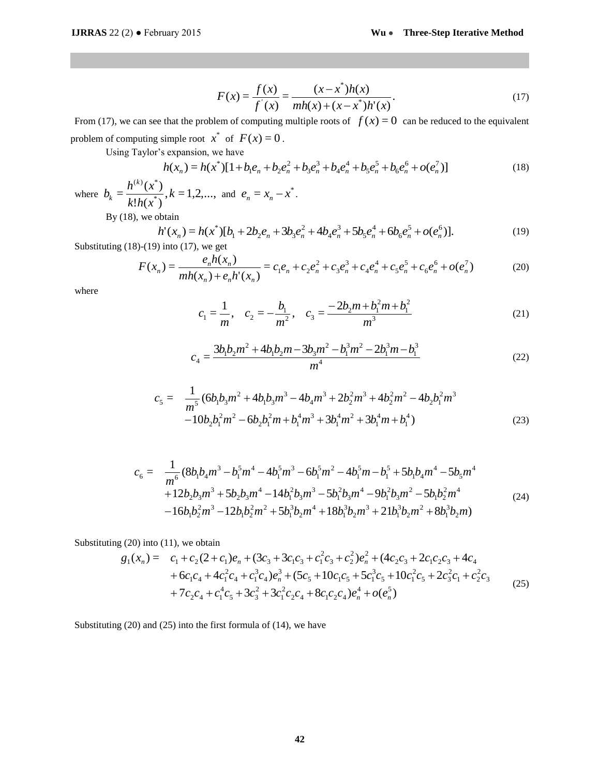$$
F(x) = \frac{f(x)}{f'(x)} = \frac{(x - x^*)h(x)}{mh(x) + (x - x^*)h'(x)}.
$$
\n(17)

From (17), we can see that the problem of computing multiple roots of  $f(x) = 0$  can be reduced to the equivalent problem of computing simple root  $x^*$  of  $F(x) = 0$ .

Using Taylor's expansion, we have

$$
h(x_n) = h(x^*)[1 + b_1 e_n + b_2 e_n^2 + b_3 e_n^3 + b_4 e_n^4 + b_5 e_n^5 + b_6 e_n^6 + o(e_n^7)]
$$
\n(18)

where  $b_k = \frac{h^{(k)}(k)}{1 + h^{(k)}}$ ,  $k = 1, 2, ...$  $!h(x^*)$  $=\frac{h^{(k)}(x^*)}{h!h(x^*)}$  $(k)$   $\sim$  \* *k*  $k!h(x)$  $b_k = \frac{h^{(k)}(x)}{1 + x}$ *k*  $e_k = \frac{h^{n-1}(x)}{h!h(x^{n})}, k = 1,2,...$ , and  $e_n = x_n - x^*$ .

By  $(18)$ , we obtain

$$
h'(x_n) = h(x^*)[b_1 + 2b_2e_n + 3b_3e_n^2 + 4b_4e_n^3 + 5b_5e_n^4 + 6b_6e_n^5 + o(e_n^6)].
$$
\n(19)

Substituting  $(18)-(19)$  into  $(17)$ , we get

$$
F(x_n) = \frac{e_n h(x_n)}{mh(x_n) + e_n h'(x_n)} = c_1 e_n + c_2 e_n^2 + c_3 e_n^3 + c_4 e_n^4 + c_5 e_n^5 + c_6 e_n^6 + o(e_n^7)
$$
(20)

where

$$
c_1 = \frac{1}{m}, \quad c_2 = -\frac{b_1}{m^2}, \quad c_3 = \frac{-2b_2m + b_1^2m + b_1^2}{m^3}
$$
(21)

$$
c_4 = \frac{3b_1b_2m^2 + 4b_1b_2m - 3b_3m^2 - b_1^3m^2 - 2b_1^3m - b_1^3}{m^4}
$$
 (22)

$$
c_5 = \frac{1}{m^5} (6b_1b_3m^2 + 4b_1b_3m^3 - 4b_4m^3 + 2b_2^2m^3 + 4b_2^2m^2 - 4b_2b_1^2m^3 -10b_2b_1^2m^2 - 6b_2b_1^2m + b_1^4m^3 + 3b_1^4m^2 + 3b_1^4m + b_1^4)
$$
\n(23)

$$
c_6 = \frac{1}{m^6} (8b_1b_4m^3 - b_1^5m^4 - 4b_1^5m^3 - 6b_1^5m^2 - 4b_1^5m - b_1^5 + 5b_1b_4m^4 - 5b_5m^4
$$
  
+12b\_2b\_3m^3 + 5b\_2b\_3m^4 - 14b\_1^2b\_3m^3 - 5b\_1^2b\_3m^4 - 9b\_1^2b\_3m^2 - 5b\_1b\_2^2m^4  
-16b\_1b\_2^2m^3 - 12b\_1b\_2^2m^2 + 5b\_1^3b\_2m^4 + 18b\_1^3b\_2m^3 + 21b\_1^3b\_2m^2 + 8b\_1^3b\_2m (24)

Substituting (20) into (11), we obtain

$$
g_1(x_n) = c_1 + c_2(2 + c_1)e_n + (3c_3 + 3c_1c_3 + c_1^2c_3 + c_2^2)e_n^2 + (4c_2c_3 + 2c_1c_2c_3 + 4c_4 + 6c_1c_4 + 4c_1^2c_4 + c_1^3c_4)e_n^3 + (5c_5 + 10c_1c_5 + 5c_1^3c_5 + 10c_1^2c_5 + 2c_3^2c_1 + c_2^2c_3 + 7c_2c_4 + c_1^4c_5 + 3c_3^2 + 3c_1^2c_2c_4 + 8c_1c_2c_4)e_n^4 + o(e_n^5)
$$
\n(25)

Substituting (20) and (25) into the first formula of (14), we have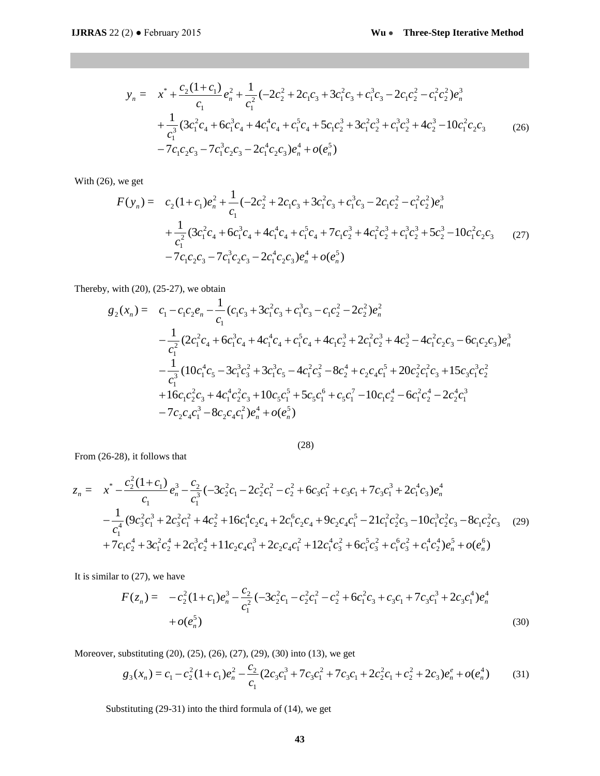$$
y_n = x^* + \frac{c_2(1+c_1)}{c_1}e_n^2 + \frac{1}{c_1^2}(-2c_2^2 + 2c_1c_3 + 3c_1^2c_3 + c_1^3c_3 - 2c_1c_2^2 - c_1^2c_2^2)e_n^3
$$
  
+ 
$$
\frac{1}{c_1^3}(3c_1^2c_4 + 6c_1^3c_4 + 4c_1^4c_4 + c_1^5c_4 + 5c_1c_2^3 + 3c_1^2c_2^3 + c_1^3c_2^3 + 4c_2^3 - 10c_1^2c_2c_3 - 7c_1^3c_2c_3 - 2c_1^4c_2c_3)e_n^4 + o(e_n^5)
$$
 (26)

With (26), we get

$$
F(y_n) = c_2(1+c_1)e_n^2 + \frac{1}{c_1}(-2c_2^2 + 2c_1c_3 + 3c_1^2c_3 + c_1^3c_3 - 2c_1c_2^2 - c_1^2c_2^2)e_n^3
$$
  
+ 
$$
\frac{1}{c_1^2}(3c_1^2c_4 + 6c_1^3c_4 + 4c_1^4c_4 + c_1^5c_4 + 7c_1c_2^3 + 4c_1^2c_2^3 + c_1^3c_2^3 + 5c_2^3 - 10c_1^2c_2c_3 \qquad (27)
$$
  
- 
$$
7c_1c_2c_3 - 7c_1^3c_2c_3 - 2c_1^4c_2c_3\big)e_n^4 + o(e_n^5)
$$

Thereby, with (20), (25-27), we obtain

$$
g_2(x_n) = c_1 - c_1c_2e_n - \frac{1}{c_1}(c_1c_3 + 3c_1^2c_3 + c_1^3c_3 - c_1c_2^2 - 2c_2^2)e_n^2
$$
  
\n
$$
- \frac{1}{c_1^2}(2c_1^2c_4 + 6c_1^3c_4 + 4c_1^4c_4 + c_1^5c_4 + 4c_1c_2^3 + 2c_1^2c_2^3 + 4c_2^3 - 4c_1^2c_2c_3 - 6c_1c_2c_3)e_n^3
$$
  
\n
$$
- \frac{1}{c_1^3}(10c_1^4c_5 - 3c_1^3c_3^2 + 3c_1^3c_5 - 4c_1^2c_3^2 - 8c_2^4 + c_2c_4c_1^5 + 20c_2^2c_1^2c_3 + 15c_3c_1^3c_2^2
$$
  
\n
$$
+ 16c_1c_2^2c_3 + 4c_1^4c_2^2c_3 + 10c_5c_1^5 + 5c_5c_1^6 + c_5c_1^7 - 10c_1c_2^4 - 6c_1^2c_2^4 - 2c_2^4c_1^3
$$
  
\n
$$
- 7c_2c_4c_1^3 - 8c_2c_4c_1^2e_n^4 + o(e_n^5)
$$

$$
z_{n} = x^{*} - \frac{c_{2}^{2}(1+c_{1})}{c_{1}} e_{n}^{3} - \frac{c_{2}}{c_{1}^{3}} (-3c_{2}^{2}c_{1} - 2c_{2}^{2}c_{1}^{2} - c_{2}^{2} + 6c_{3}c_{1}^{2} + c_{3}c_{1} + 7c_{3}c_{1}^{3} + 2c_{1}^{4}c_{3})e_{n}^{4}
$$
  

$$
- \frac{1}{c_{1}^{4}} (9c_{3}^{2}c_{1}^{3} + 2c_{3}^{2}c_{1}^{2} + 4c_{2}^{2} + 16c_{1}^{4}c_{2}c_{4} + 2c_{1}^{6}c_{2}c_{4} + 9c_{2}c_{4}c_{1}^{5} - 21c_{1}^{2}c_{2}^{2}c_{3} - 10c_{1}^{3}c_{2}^{2}c_{3} - 8c_{1}c_{2}^{2}c_{3} (29)
$$
  

$$
+ 7c_{1}c_{2}^{4} + 3c_{1}^{2}c_{2}^{4} + 2c_{1}^{3}c_{2}^{4} + 11c_{2}c_{4}c_{1}^{3} + 2c_{2}c_{4}c_{1}^{2} + 12c_{1}^{4}c_{3}^{2} + 6c_{1}^{5}c_{3}^{2} + c_{1}^{6}c_{3}^{2} + c_{1}^{4}c_{2}^{4})e_{n}^{5} + o(e_{n}^{6})
$$

(28)

It is similar to (27), we have

From (26-28), it follows that

$$
F(z_n) = -c_2^2 (1 + c_1) e_n^3 - \frac{c_2}{c_1^2} (-3c_2^2 c_1 - c_2^2 c_1^2 - c_2^2 + 6c_1^2 c_3 + c_3 c_1 + 7c_3 c_1^3 + 2c_3 c_1^4) e_n^4 + o(e_n^5)
$$
\n(30)

Moreover, substituting (20), (25), (26), (27), (29), (30) into (13), we get

$$
g_3(x_n) = c_1 - c_2^2 (1 + c_1) e_n^2 - \frac{c_2}{c_1} (2c_3 c_1^3 + 7c_3 c_1^2 + 7c_3 c_1 + 2c_2^2 c_1 + c_2^2 + 2c_3) e_n^e + o(e_n^4)
$$
 (31)

Substituting (29-31) into the third formula of (14), we get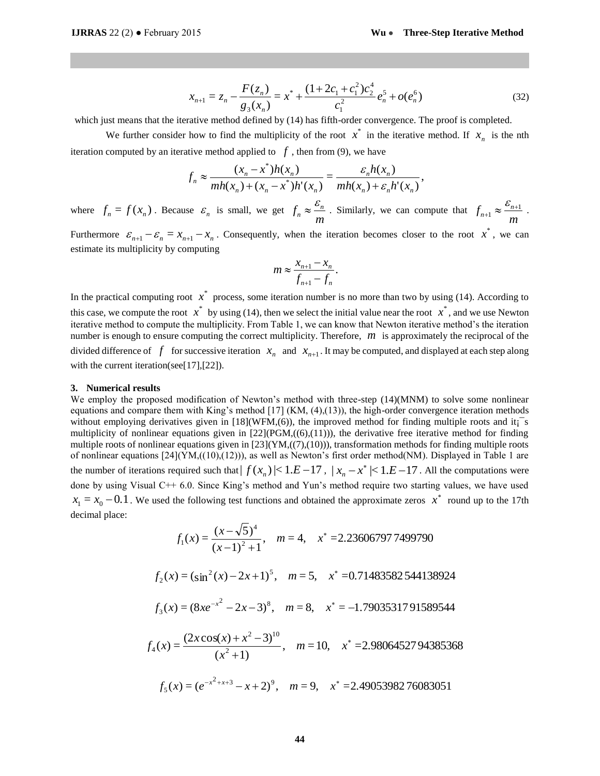$$
x_{n+1} = z_n - \frac{F(z_n)}{g_3(x_n)} = x^* + \frac{(1+2c_1+c_1^2)c_2^4}{c_1^2}e_n^5 + o(e_n^6)
$$
 (32)

which just means that the iterative method defined by (14) has fifth-order convergence. The proof is completed.

We further consider how to find the multiplicity of the root  $x^*$  in the iterative method. If  $x_n$  is the nth iteration computed by an iterative method applied to  $f$ , then from (9), we have

$$
f_n \approx \frac{(x_n - x^*)h(x_n)}{mh(x_n) + (x_n - x^*)h'(x_n)} = \frac{\varepsilon_n h(x_n)}{mh(x_n) + \varepsilon_n h'(x_n)},
$$

where  $f_n = f(x_n)$ . Because  $\varepsilon_n$  is small, we get  $f_n \approx \frac{c_n}{m}$  $f_n \approx \frac{c_n}{n}$  $\approx \frac{\varepsilon_n}{m}$ . Similarly, we can compute that  $f_{n+1} \approx \frac{\varepsilon_{n+1}}{m}$  $f_{n+1} \approx \frac{\mathcal{E}_{n+1}}{n+1}$ .

Furthermore  $\varepsilon_{n+1} - \varepsilon_n = x_{n+1} - x_n$ . Consequently, when the iteration becomes closer to the root  $x^*$ , we can estimate its multiplicity by computing

$$
m \approx \frac{x_{n+1} - x_n}{f_{n+1} - f_n}.
$$

In the practical computing root  $\vec{x}$  process, some iteration number is no more than two by using (14). According to this case, we compute the root  $x^*$  by using (14), then we select the initial value near the root  $x^*$ , and we use Newton iterative method to compute the multiplicity. From Table 1, we can know that Newton iterative method's the iteration number is enough to ensure computing the correct multiplicity. Therefore, *m* is approximately the reciprocal of the divided difference of  $f$  for successive iteration  $x_n$  and  $x_{n+1}$ . It may be computed, and displayed at each step along with the current iteration(see[17],[22]).

#### **3. Numerical results**

We employ the proposed modification of Newton's method with three-step  $(14)(MNM)$  to solve some nonlinear equations and compare them with King's method [17] (KM, (4),(13)), the high-order convergence iteration methods without employing derivatives given in  $[18](WFM, (6))$ , the improved method for finding multiple roots and it;<sup> $-$ </sup>s multiplicity of nonlinear equations given in  $[22](PGM<sub>1</sub>((6),(11)))$ , the derivative free iterative method for finding multiple roots of nonlinear equations given in  $[23](YM,((7),(10)))$ , transformation methods for finding multiple roots of nonlinear equations  $[24](YM<sub>1</sub>(10)<sub>1</sub>(12))$ , as well as Newton's first order method(NM). Displayed in Table 1 are the number of iterations required such that  $| f(x_n) |$ < 1.*E* - 17,  $|x_n - x^*|$  < 1.*E* - 17. All the computations were done by using Visual C++ 6.0. Since King's method and Yun's method require two starting values, we have used  $x_1 = x_0 - 0.1$ . We used the following test functions and obtained the approximate zeros  $x^*$  round up to the 17th decimal place:

$$
x_{n+1} = z_n - \frac{x_1 x_{n+1}}{g_3(x_n)} = x^* + \frac{(x_1 + x_{n+1} + x_{n+1} + x_{n+2}}{c_1^2} e_n^* + o(e_n^6)
$$
  
that the iterative method defined by (14) has fifth-order convergence. The proof is  
or consider how to find the multiplicity of the root  $x^*$  in the iterative method.  
by an iterative method applied to  $f$ , then from (9), we have  

$$
f_n \approx \frac{(x_n - x^*)h(x_n)}{mh(x_n) + (x_n - x^*)h'(x_n)} = \frac{\varepsilon_n h(x_n)}{mh(x_n) + \varepsilon_n h'(x_n)},
$$
  
.) Because  $\varepsilon_n$  is small, we get  $f_n \approx \frac{\varepsilon_n}{m}$ . Similarly, we can compute that  
 $-\varepsilon_n = x_{n+1} - x_n$ . Consequently, when the iteration becomes closer to the re-  
ticity by computing  
 $m \approx \frac{x_{n+1} - x_n}{f_{n+1} - f_n}$ .  
muting root  $x^*$  process, some iteration number is no more than two by using (1  
atte the root  $x^*$  by using (14), then we select the initial value near the root  $x^*$ , and  
compute the multiplicity. From Table 1, we can know that Newton iterative method  
to ensure computing the correct multiplicity. Therefore,  $m$  is approximately the  
of  $f$  for successive iteration  $x_n$  and  $x_{n+1}$ . It may be computed, and displayed  
andification of Newton's method [17] (KM, (4), (13)), the high-order convergence the  
order with King's method [17] (KM, (4), (13)), the solution for finding multiple  
space them with King's method [17] (KM, (4), (13)), the distribution of the  
dequation's given in [22](PM, ((0), (11))), and is defined from the body for finding multiple  
linear equations given in [22](PM, (10), (10)), and from the other order of  
of the  $f$  of the  $f$  of  $f$  is the  $f$  of  $f$  of  $f$  of  $f$  of  $f$  of  $f$  of  $f$  of  $f$  of  $f$  of  $f$  of  $f$  of  $f$  of  $f$  of  $f$  of  $f$  of  $f$  of  $f$  of  $f$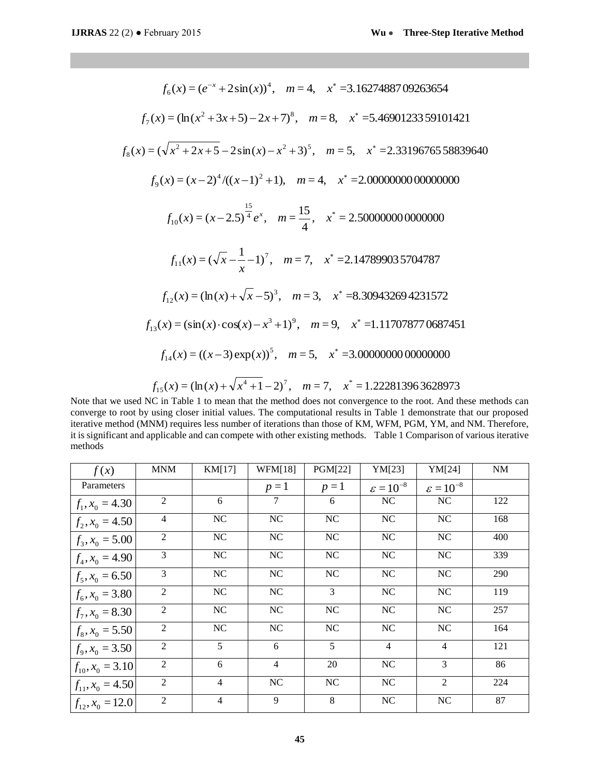| $f_6(x) = (e^{-x} + 2\sin(x))^4$ , $m = 4$ , $x^* = 3.1627488709263654$ |                                                                                                                                                                                                                                                                                                                                                                                                                                                                                              |                                          |                                                                                                |                        |                               |                                 |  |  |  |
|-------------------------------------------------------------------------|----------------------------------------------------------------------------------------------------------------------------------------------------------------------------------------------------------------------------------------------------------------------------------------------------------------------------------------------------------------------------------------------------------------------------------------------------------------------------------------------|------------------------------------------|------------------------------------------------------------------------------------------------|------------------------|-------------------------------|---------------------------------|--|--|--|
|                                                                         |                                                                                                                                                                                                                                                                                                                                                                                                                                                                                              |                                          | $f_7(x) = (\ln(x^2 + 3x + 5) - 2x + 7)^8$ , $m = 8$ , $x^* = 5.4690123359101421$               |                        |                               |                                 |  |  |  |
|                                                                         |                                                                                                                                                                                                                                                                                                                                                                                                                                                                                              |                                          | $f_s(x) = (\sqrt{x^2 + 2x + 5} - 2\sin(x) - x^2 + 3)^5$ , $m = 5$ , $x^* = 2.3319676558839640$ |                        |                               |                                 |  |  |  |
|                                                                         |                                                                                                                                                                                                                                                                                                                                                                                                                                                                                              |                                          |                                                                                                |                        |                               |                                 |  |  |  |
|                                                                         |                                                                                                                                                                                                                                                                                                                                                                                                                                                                                              |                                          |                                                                                                |                        |                               |                                 |  |  |  |
|                                                                         |                                                                                                                                                                                                                                                                                                                                                                                                                                                                                              |                                          |                                                                                                |                        |                               |                                 |  |  |  |
|                                                                         |                                                                                                                                                                                                                                                                                                                                                                                                                                                                                              |                                          | $f_{11}(x) = (\sqrt{x} - \frac{1}{x} - 1)^7$ , $m = 7$ , $x^* = 2.147899035704787$             |                        |                               |                                 |  |  |  |
|                                                                         |                                                                                                                                                                                                                                                                                                                                                                                                                                                                                              |                                          | $f_{12}(x) = (\ln(x) + \sqrt{x} - 5)^3$ , $m = 3$ , $x^* = 8.309432694231572$                  |                        |                               |                                 |  |  |  |
|                                                                         |                                                                                                                                                                                                                                                                                                                                                                                                                                                                                              |                                          | $f_{13}(x) = (\sin(x) \cdot \cos(x) - x^3 + 1)^9$ , $m = 9$ , $x^* = 1.117078770687451$        |                        |                               |                                 |  |  |  |
|                                                                         | $f_{14}(x) = ((x-3) \exp(x))^{5}$ , $m = 5$ , $x^* = 3.0000000000000000$                                                                                                                                                                                                                                                                                                                                                                                                                     |                                          |                                                                                                |                        |                               |                                 |  |  |  |
|                                                                         | $f_{15}(x) = (\ln(x) + \sqrt{x^4 + 1} - 2)^7$ , $m = 7$ , $x^* = 1.222813963628973$<br>we used NC in Table 1 to mean that the method does not convergence to the root. And these method<br>to root by using closer initial values. The computational results in Table 1 demonstrate that our<br>nethod (MNM) requires less number of iterations than those of KM, WFM, PGM, YM, and NM. T<br>icant and applicable and can compete with other existing methods. Table 1 Comparison of various |                                          |                                                                                                |                        |                               |                                 |  |  |  |
| eters                                                                   | <b>MNM</b>                                                                                                                                                                                                                                                                                                                                                                                                                                                                                   | KM[17]                                   | <b>WFM[18]</b>                                                                                 | PGM[22]                | YM[23]                        | YM[24]                          |  |  |  |
|                                                                         | 2                                                                                                                                                                                                                                                                                                                                                                                                                                                                                            | 6                                        | $p=1$<br>7                                                                                     | $p=1$<br>6             | $\varepsilon = 10^{-8}$<br>NC | $\varepsilon = 10^{-8}$<br>$NC$ |  |  |  |
| 4.30                                                                    | 4                                                                                                                                                                                                                                                                                                                                                                                                                                                                                            |                                          |                                                                                                |                        | NC                            | <b>NC</b>                       |  |  |  |
| 4.50                                                                    | $\overline{2}$                                                                                                                                                                                                                                                                                                                                                                                                                                                                               | N <sub>C</sub><br>$\overline{\text{NC}}$ | NC<br>$\rm NC$                                                                                 | <b>NC</b><br>$\rm NC$  | $\rm NC$                      | $\overline{\text{NC}}$          |  |  |  |
| 5.00                                                                    |                                                                                                                                                                                                                                                                                                                                                                                                                                                                                              |                                          |                                                                                                |                        |                               |                                 |  |  |  |
| 4.90                                                                    | 3                                                                                                                                                                                                                                                                                                                                                                                                                                                                                            | $\rm NC$                                 | $\rm NC$                                                                                       | NC                     | NC                            | $\rm NC$                        |  |  |  |
| 6.50                                                                    | 3                                                                                                                                                                                                                                                                                                                                                                                                                                                                                            | NC                                       | NC                                                                                             | NC                     | NC                            | NC                              |  |  |  |
| 3.80                                                                    | $\overline{2}$                                                                                                                                                                                                                                                                                                                                                                                                                                                                               | $\overline{\text{NC}}$                   | $\overline{\text{NC}}$                                                                         | $\overline{3}$         | $\overline{\text{NC}}$        | NC                              |  |  |  |
| 8.30                                                                    | $\overline{2}$                                                                                                                                                                                                                                                                                                                                                                                                                                                                               | $\rm NC$                                 | $\overline{NC}$                                                                                | NC                     | $\overline{\text{NC}}$        | $\rm NC$                        |  |  |  |
| 5.50                                                                    | $\overline{2}$                                                                                                                                                                                                                                                                                                                                                                                                                                                                               | $\overline{\text{NC}}$                   | $\overline{\text{NC}}$                                                                         | $\overline{\text{NC}}$ | $\overline{\text{NC}}$        | $\overline{\text{NC}}$          |  |  |  |
| 3.50                                                                    | $\overline{2}$                                                                                                                                                                                                                                                                                                                                                                                                                                                                               | $\overline{5}$                           | $\overline{6}$                                                                                 | $\overline{5}$         | $\overline{4}$                | $\overline{4}$                  |  |  |  |
| $= 3.10$                                                                | 2                                                                                                                                                                                                                                                                                                                                                                                                                                                                                            | 6                                        | $\overline{4}$                                                                                 | 20                     | $\rm NC$                      | 3                               |  |  |  |
| 4.50                                                                    | $\boldsymbol{2}$                                                                                                                                                                                                                                                                                                                                                                                                                                                                             | $\overline{4}$                           | $\rm NC$                                                                                       | NC                     | $\rm NC$                      | $\sqrt{2}$                      |  |  |  |
| $= 12.0$                                                                | $\overline{c}$                                                                                                                                                                                                                                                                                                                                                                                                                                                                               | $\overline{4}$                           | $\overline{9}$                                                                                 | $\overline{8}$         | NC                            | $\rm NC$                        |  |  |  |
|                                                                         |                                                                                                                                                                                                                                                                                                                                                                                                                                                                                              |                                          | 45                                                                                             |                        |                               |                                 |  |  |  |

Note that we used NC in Table 1 to mean that the method does not convergence to the root. And these methods can converge to root by using closer initial values. The computational results in Table 1 demonstrate that our proposed iterative method (MNM) requires less number of iterations than those of KM, WFM, PGM, YM, and NM. Therefore, it is significant and applicable and can compete with other existing methods. Table 1 Comparison of various iterative methods

| f(x)                    | <b>MNM</b>     | KM[17]         | <b>WFM[18]</b> | PGM[22] | YM[23]                  | YM[24]                  | $\rm{NM}$ |
|-------------------------|----------------|----------------|----------------|---------|-------------------------|-------------------------|-----------|
| Parameters              |                |                | $p=1$          | $p=1$   | $\varepsilon = 10^{-8}$ | $\varepsilon = 10^{-8}$ |           |
| $f_1, x_0 = 4.30$       | $\overline{2}$ | 6              | 7              | 6       | NC                      | NC                      | 122       |
| $f_2, x_0 = 4.50$       | $\overline{4}$ | NC             | NC             | NC      | NC                      | NC                      | 168       |
| $f_3, x_0 = 5.00$       | $\overline{2}$ | NC             | NC             | NC      | NC                      | NC                      | 400       |
| $f_4, x_0 = 4.90$       | 3              | NC             | <b>NC</b>      | NC      | NC                      | NC                      | 339       |
| $f_5, x_0 = 6.50$       | 3              | NC             | NC             | NC      | NC                      | NC                      | 290       |
| $f_6$ , $x_0$ = 3.80    | $\overline{2}$ | NC             | NC             | 3       | NC                      | NC                      | 119       |
| $f_7$ , $x_0$ = 8.30    | $\overline{2}$ | NC             | <b>NC</b>      | NC      | NC                      | NC                      | 257       |
| $f_8, x_0 = 5.50$       | $\overline{2}$ | NC             | NC             | NC      | $\rm NC$                | NC                      | 164       |
| $f_9, x_0 = 3.50$       | $\overline{2}$ | 5              | 6              | 5       | $\overline{4}$          | $\overline{4}$          | 121       |
| $f_{10}$ , $x_0 = 3.10$ | $\overline{2}$ | 6              | $\overline{4}$ | 20      | NC                      | 3                       | 86        |
| $f_{11}$ , $x_0$ = 4.50 | $\overline{2}$ | $\overline{4}$ | <b>NC</b>      | NC      | NC                      | 2                       | 224       |
| $ f_{12}, x_0 = 12.0 $  | $\overline{2}$ | 4              | 9              | 8       | NC                      | NC                      | 87        |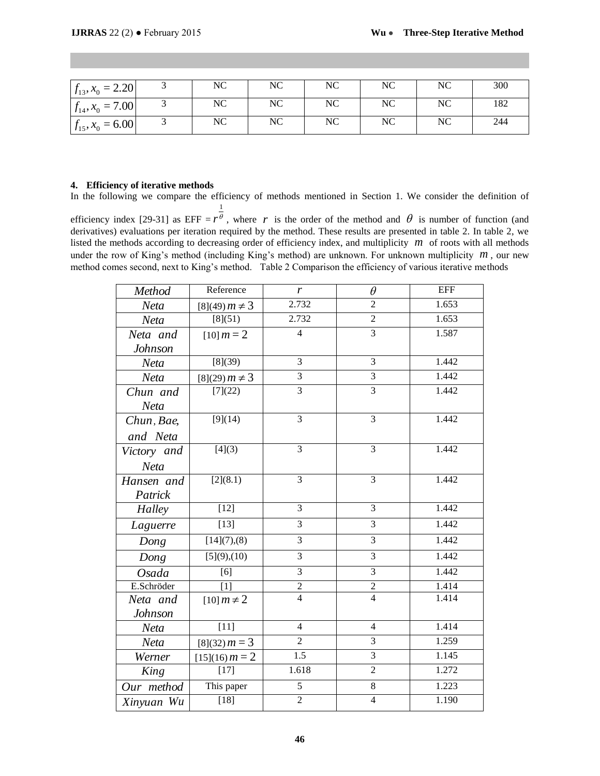| $ f_{13}, x_0 = 2.20 $  | NC | NC | NC | NC | NC | 300 |
|-------------------------|----|----|----|----|----|-----|
| $ f_{14}, x_0 = 7.00 $  | NC | NC | NC | NC | NC | 182 |
| $f_{15}$ , $x_0 = 6.00$ | NC | NC | NC | NC | NC | 244 |

## **4. Efficiency of iterative methods**

In the following we compare the efficiency of methods mentioned in Section 1. We consider the definition of 1

efficiency index [29-31] as EFF =  $r^{\theta}$  $r^{\theta}$ , where r is the order of the method and  $\theta$  is number of function (and derivatives) evaluations per iteration required by the method. These results are presented in table 2. In table 2, we listed the methods according to decreasing order of efficiency index, and multiplicity  $m$  of roots with all methods under the row of King's method (including King's method) are unknown. For unknown multiplicity  $m$ , our new method comes second, next to King's method. Table 2 Comparison the efficiency of various iterative methods

| $f_{13}, x_0 = 2.20$ | 3                                                                                                                                                                                                                                                                                                                                                                                                                                                                                                                                                                   | NC                   | NC             | NC       | NC                      | NC                     |  |
|----------------------|---------------------------------------------------------------------------------------------------------------------------------------------------------------------------------------------------------------------------------------------------------------------------------------------------------------------------------------------------------------------------------------------------------------------------------------------------------------------------------------------------------------------------------------------------------------------|----------------------|----------------|----------|-------------------------|------------------------|--|
| $f_{14}, x_0 = 7.00$ | $\overline{3}$                                                                                                                                                                                                                                                                                                                                                                                                                                                                                                                                                      | $\rm NC$             | $\rm NC$       | $\rm NC$ | $\rm NC$                | $\overline{\text{NC}}$ |  |
| $f_{15}, x_0 = 6.00$ | 3                                                                                                                                                                                                                                                                                                                                                                                                                                                                                                                                                                   | NC                   | NC             | NC       | NC                      | $\rm NC$               |  |
|                      | . Efficiency of iterative methods<br>in the following we compare the efficiency of methods mentioned in Section 1. We consider the de                                                                                                                                                                                                                                                                                                                                                                                                                               |                      |                |          |                         |                        |  |
|                      | fficiency index [29-31] as EFF = $r^{\overline{\theta}}$ , where r is the order of the method and $\theta$ is number of fur<br>erivatives) evaluations per iteration required by the method. These results are presented in table 2. In t<br>sted the methods according to decreasing order of efficiency index, and multiplicity $m$ of roots with a<br>nder the row of King's method (including King's method) are unknown. For unknown multiplicity $n$<br>nethod comes second, next to King's method. Table 2 Comparison the efficiency of various iterative me |                      |                |          |                         |                        |  |
|                      | Method                                                                                                                                                                                                                                                                                                                                                                                                                                                                                                                                                              | Reference            | r              |          | $\theta$                | EFF                    |  |
|                      | Neta                                                                                                                                                                                                                                                                                                                                                                                                                                                                                                                                                                | $[8](49) m \neq 3$   | 2.732          |          | $\overline{2}$          | 1.653                  |  |
|                      | Neta                                                                                                                                                                                                                                                                                                                                                                                                                                                                                                                                                                | [8](51)              | 2.732          |          | $\overline{c}$          | 1.653                  |  |
|                      | Neta and<br>Johnson                                                                                                                                                                                                                                                                                                                                                                                                                                                                                                                                                 | $[10]$ $m = 2$       | $\overline{4}$ |          | $\overline{3}$          | 1.587                  |  |
|                      | Neta                                                                                                                                                                                                                                                                                                                                                                                                                                                                                                                                                                | [8](39)              | 3              |          | 3                       | 1.442                  |  |
|                      | Neta                                                                                                                                                                                                                                                                                                                                                                                                                                                                                                                                                                | $[8](29) m \neq 3$   | 3              |          | 3                       | 1.442                  |  |
|                      | Chun and<br>Neta                                                                                                                                                                                                                                                                                                                                                                                                                                                                                                                                                    | [7](22)              | 3              |          | $\overline{\mathbf{3}}$ | 1.442                  |  |
|                      | Chun, Bae,<br>and Neta                                                                                                                                                                                                                                                                                                                                                                                                                                                                                                                                              | $[9](\overline{14})$ | 3              |          | $\overline{3}$          | 1.442                  |  |
|                      | Victory and<br>Neta                                                                                                                                                                                                                                                                                                                                                                                                                                                                                                                                                 | [4](3)               | 3              |          | 3                       | 1.442                  |  |
|                      | Hansen and<br>Patrick                                                                                                                                                                                                                                                                                                                                                                                                                                                                                                                                               | 3<br>[2](8.1)        |                |          | 3                       | 1.442                  |  |
|                      | Halley                                                                                                                                                                                                                                                                                                                                                                                                                                                                                                                                                              | $[12]$               | $\mathfrak{Z}$ |          | $\mathfrak 3$           | 1.442                  |  |
|                      | Laguerre                                                                                                                                                                                                                                                                                                                                                                                                                                                                                                                                                            | $[13]$               | 3              |          | 3                       | 1.442                  |  |
|                      | Dong                                                                                                                                                                                                                                                                                                                                                                                                                                                                                                                                                                | $[14](7)$ , (8)      | 3              |          | 3                       | 1.442                  |  |
|                      | Dong                                                                                                                                                                                                                                                                                                                                                                                                                                                                                                                                                                | $[5](9)$ , (10)      | $\overline{3}$ |          | $\overline{3}$          | 1.442                  |  |
|                      | Osada                                                                                                                                                                                                                                                                                                                                                                                                                                                                                                                                                               | [6]                  | $\overline{3}$ |          | $\overline{3}$          | 1.442                  |  |
|                      | E.Schröder                                                                                                                                                                                                                                                                                                                                                                                                                                                                                                                                                          | [1]                  | $\mathbf{2}$   |          | $\overline{2}$          | 1.414                  |  |
|                      | Neta and<br>Johnson                                                                                                                                                                                                                                                                                                                                                                                                                                                                                                                                                 | $[10]$ $m \neq 2$    | $\overline{4}$ |          | $\overline{4}$          | 1.414                  |  |
|                      | Neta                                                                                                                                                                                                                                                                                                                                                                                                                                                                                                                                                                | $[11]$               | 4              |          | $\overline{4}$          | 1.414                  |  |
|                      | Neta                                                                                                                                                                                                                                                                                                                                                                                                                                                                                                                                                                | $[8](32) m = 3$      | $\overline{2}$ |          | $\overline{3}$          | 1.259                  |  |
|                      | Werner                                                                                                                                                                                                                                                                                                                                                                                                                                                                                                                                                              | $[15](16) m = 2$     | 1.5            |          | $\mathfrak{Z}$          | 1.145                  |  |
|                      | King                                                                                                                                                                                                                                                                                                                                                                                                                                                                                                                                                                | $[17]$               | 1.618          |          | $\overline{2}$          | 1.272                  |  |
|                      | Our method                                                                                                                                                                                                                                                                                                                                                                                                                                                                                                                                                          | This paper           | $\overline{5}$ |          | $\overline{8}$          | 1.223                  |  |
|                      | Xinyuan Wu                                                                                                                                                                                                                                                                                                                                                                                                                                                                                                                                                          | $[18]$               | $\overline{2}$ |          | $\overline{4}$          | 1.190                  |  |
|                      |                                                                                                                                                                                                                                                                                                                                                                                                                                                                                                                                                                     |                      | 46             |          |                         |                        |  |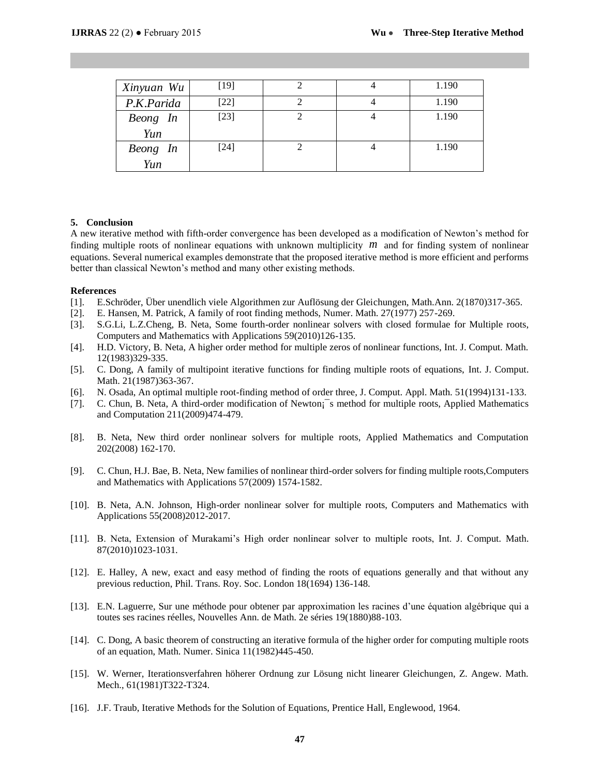| Xinyuan Wu                                                                                                                                                                                                                                                                                                                                                                                                                                                                                                                                                                                                                                                                                                                                                                                                                                                                                                                                                                                                                                                                                                                                                                                                                                                                                                                                                                                                                                                                                                                                                                                                                                                                                                                                                                                                                                                                                                                                                                                                                                                                                                                                                                                                                                                                                                                                                                                                                                    | $[19]$ | 2              | 4              | 1.190 |  |  |  |  |  |
|-----------------------------------------------------------------------------------------------------------------------------------------------------------------------------------------------------------------------------------------------------------------------------------------------------------------------------------------------------------------------------------------------------------------------------------------------------------------------------------------------------------------------------------------------------------------------------------------------------------------------------------------------------------------------------------------------------------------------------------------------------------------------------------------------------------------------------------------------------------------------------------------------------------------------------------------------------------------------------------------------------------------------------------------------------------------------------------------------------------------------------------------------------------------------------------------------------------------------------------------------------------------------------------------------------------------------------------------------------------------------------------------------------------------------------------------------------------------------------------------------------------------------------------------------------------------------------------------------------------------------------------------------------------------------------------------------------------------------------------------------------------------------------------------------------------------------------------------------------------------------------------------------------------------------------------------------------------------------------------------------------------------------------------------------------------------------------------------------------------------------------------------------------------------------------------------------------------------------------------------------------------------------------------------------------------------------------------------------------------------------------------------------------------------------------------------------|--------|----------------|----------------|-------|--|--|--|--|--|
| P.K.Parida                                                                                                                                                                                                                                                                                                                                                                                                                                                                                                                                                                                                                                                                                                                                                                                                                                                                                                                                                                                                                                                                                                                                                                                                                                                                                                                                                                                                                                                                                                                                                                                                                                                                                                                                                                                                                                                                                                                                                                                                                                                                                                                                                                                                                                                                                                                                                                                                                                    | $[22]$ | $\mathbf{2}$   | 4              | 1.190 |  |  |  |  |  |
| Beong In                                                                                                                                                                                                                                                                                                                                                                                                                                                                                                                                                                                                                                                                                                                                                                                                                                                                                                                                                                                                                                                                                                                                                                                                                                                                                                                                                                                                                                                                                                                                                                                                                                                                                                                                                                                                                                                                                                                                                                                                                                                                                                                                                                                                                                                                                                                                                                                                                                      | $[23]$ | $\overline{2}$ | $\overline{4}$ | 1.190 |  |  |  |  |  |
| Yun                                                                                                                                                                                                                                                                                                                                                                                                                                                                                                                                                                                                                                                                                                                                                                                                                                                                                                                                                                                                                                                                                                                                                                                                                                                                                                                                                                                                                                                                                                                                                                                                                                                                                                                                                                                                                                                                                                                                                                                                                                                                                                                                                                                                                                                                                                                                                                                                                                           |        |                |                |       |  |  |  |  |  |
| Beong In                                                                                                                                                                                                                                                                                                                                                                                                                                                                                                                                                                                                                                                                                                                                                                                                                                                                                                                                                                                                                                                                                                                                                                                                                                                                                                                                                                                                                                                                                                                                                                                                                                                                                                                                                                                                                                                                                                                                                                                                                                                                                                                                                                                                                                                                                                                                                                                                                                      | $[24]$ | $\overline{2}$ | $\overline{4}$ | 1.190 |  |  |  |  |  |
|                                                                                                                                                                                                                                                                                                                                                                                                                                                                                                                                                                                                                                                                                                                                                                                                                                                                                                                                                                                                                                                                                                                                                                                                                                                                                                                                                                                                                                                                                                                                                                                                                                                                                                                                                                                                                                                                                                                                                                                                                                                                                                                                                                                                                                                                                                                                                                                                                                               |        |                |                |       |  |  |  |  |  |
| Yun<br>ısion<br>ative method with fifth-order convergence has been developed as a modification of Newton's<br>litiple roots of nonlinear equations with unknown multiplicity $m$ and for finding system of<br>Several numerical examples demonstrate that the proposed iterative method is more efficient and<br>classical Newton's method and many other existing methods.<br>chröder, Über unendlich viele Algorithmen zur Auflösung der Gleichungen, Math.Ann. 2(1870<br>lansen, M. Patrick, A family of root finding methods, Numer. Math. 27(1977) 257-269.<br>Li, L.Z.Cheng, B. Neta, Some fourth-order nonlinear solvers with closed formulae for Mu<br>aputers and Mathematics with Applications 59(2010)126-135.<br>. Victory, B. Neta, A higher order method for multiple zeros of nonlinear functions, Int. J. Cor<br>983)329-335.<br>Dong, A family of multipoint iterative functions for finding multiple roots of equations, Int.<br>h. 21(1987)363-367.<br>Isada, An optimal multiple root-finding method of order three, J. Comput. Appl. Math. 51(199<br>Thun, B. Neta, A third-order modification of Newton; s method for multiple roots, Applied M<br>Computation 211(2009)474-479.<br>Neta, New third order nonlinear solvers for multiple roots, Applied Mathematics and C<br>$(2008)$ 162-170.<br>hun, H.J. Bae, B. Neta, New families of nonlinear third-order solvers for finding multiple roots<br>Mathematics with Applications 57(2009) 1574-1582.<br>Neta, A.N. Johnson, High-order nonlinear solver for multiple roots, Computers and Mather<br>lications 55(2008)2012-2017.<br>Neta, Extension of Murakami's High order nonlinear solver to multiple roots, Int. J. Con<br>2010)1023-1031.<br>Ialley, A new, exact and easy method of finding the roots of equations generally and that v<br>rious reduction, Phil. Trans. Roy. Soc. London 18(1694) 136-148.<br>Laguerre, Sur une méthode pour obtener par approximation les racines d'une équation algél<br>es ses racines réelles, Nouvelles Ann. de Math. 2e séries 19(1880)88-103.<br>Dong, A basic theorem of constructing an iterative formula of the higher order for computing mo<br>n equation, Math. Numer. Sinica 11(1982)445-450.<br>Werner, Iterationsverfahren höherer Ordnung zur Lösung nicht linearer Gleichungen, Z. An<br>h., 61(1981)T322-T324.<br>Traub, Iterative Methods for the Solution of Equations, Prentice Hall, Englewood, 1964. |        |                |                |       |  |  |  |  |  |
|                                                                                                                                                                                                                                                                                                                                                                                                                                                                                                                                                                                                                                                                                                                                                                                                                                                                                                                                                                                                                                                                                                                                                                                                                                                                                                                                                                                                                                                                                                                                                                                                                                                                                                                                                                                                                                                                                                                                                                                                                                                                                                                                                                                                                                                                                                                                                                                                                                               |        | 47             |                |       |  |  |  |  |  |

#### **5. Conclusion**

A new iterative method with fifth-order convergence has been developed as a modification of Newton's method for finding multiple roots of nonlinear equations with unknown multiplicity *m* and for finding system of nonlinear equations. Several numerical examples demonstrate that the proposed iterative method is more efficient and performs better than classical Newton's method and many other existing methods.

#### **References**

- [1]. E.Schröder, Über unendlich viele Algorithmen zur Auflösung der Gleichungen, Math.Ann. 2(1870)317-365.
- [2]. E. Hansen, M. Patrick, A family of root finding methods, Numer. Math. 27(1977) 257-269.
- [3]. S.G.Li, L.Z.Cheng, B. Neta, Some fourth-order nonlinear solvers with closed formulae for Multiple roots, Computers and Mathematics with Applications 59(2010)126-135.
- [4]. H.D. Victory, B. Neta, A higher order method for multiple zeros of nonlinear functions, Int. J. Comput. Math. 12(1983)329-335.
- [5]. C. Dong, A family of multipoint iterative functions for finding multiple roots of equations, Int. J. Comput. Math. 21(1987)363-367.
- [6]. N. Osada, An optimal multiple root-finding method of order three, J. Comput. Appl. Math. 51(1994)131-133.
- [7]. C. Chun, B. Neta, A third-order modification of Newton; smethod for multiple roots, Applied Mathematics and Computation 211(2009)474-479.
- [8]. B. Neta, New third order nonlinear solvers for multiple roots, Applied Mathematics and Computation 202(2008) 162-170.
- [9]. C. Chun, H.J. Bae, B. Neta, New families of nonlinear third-order solvers for finding multiple roots,Computers and Mathematics with Applications 57(2009) 1574-1582.
- [10]. B. Neta, A.N. Johnson, High-order nonlinear solver for multiple roots, Computers and Mathematics with Applications 55(2008)2012-2017.
- [11]. B. Neta, Extension of Murakami's High order nonlinear solver to multiple roots, Int. J. Comput. Math. 87(2010)1023-1031.
- [12]. E. Halley, A new, exact and easy method of finding the roots of equations generally and that without any previous reduction, Phil. Trans. Roy. Soc. London 18(1694) 136-148.
- [13]. E.N. Laguerre, Sur une méthode pour obtener par approximation les racines d'une équation algébrique qui a toutes ses racines réelles, Nouvelles Ann. de Math. 2e séries 19(1880)88-103.
- [14]. C. Dong, A basic theorem of constructing an iterative formula of the higher order for computing multiple roots of an equation, Math. Numer. Sinica 11(1982)445-450.
- [15]. W. Werner, Iterationsverfahren höherer Ordnung zur Lösung nicht linearer Gleichungen, Z. Angew. Math. Mech., 61(1981)T322-T324.
- [16]. J.F. Traub, Iterative Methods for the Solution of Equations, Prentice Hall, Englewood, 1964.